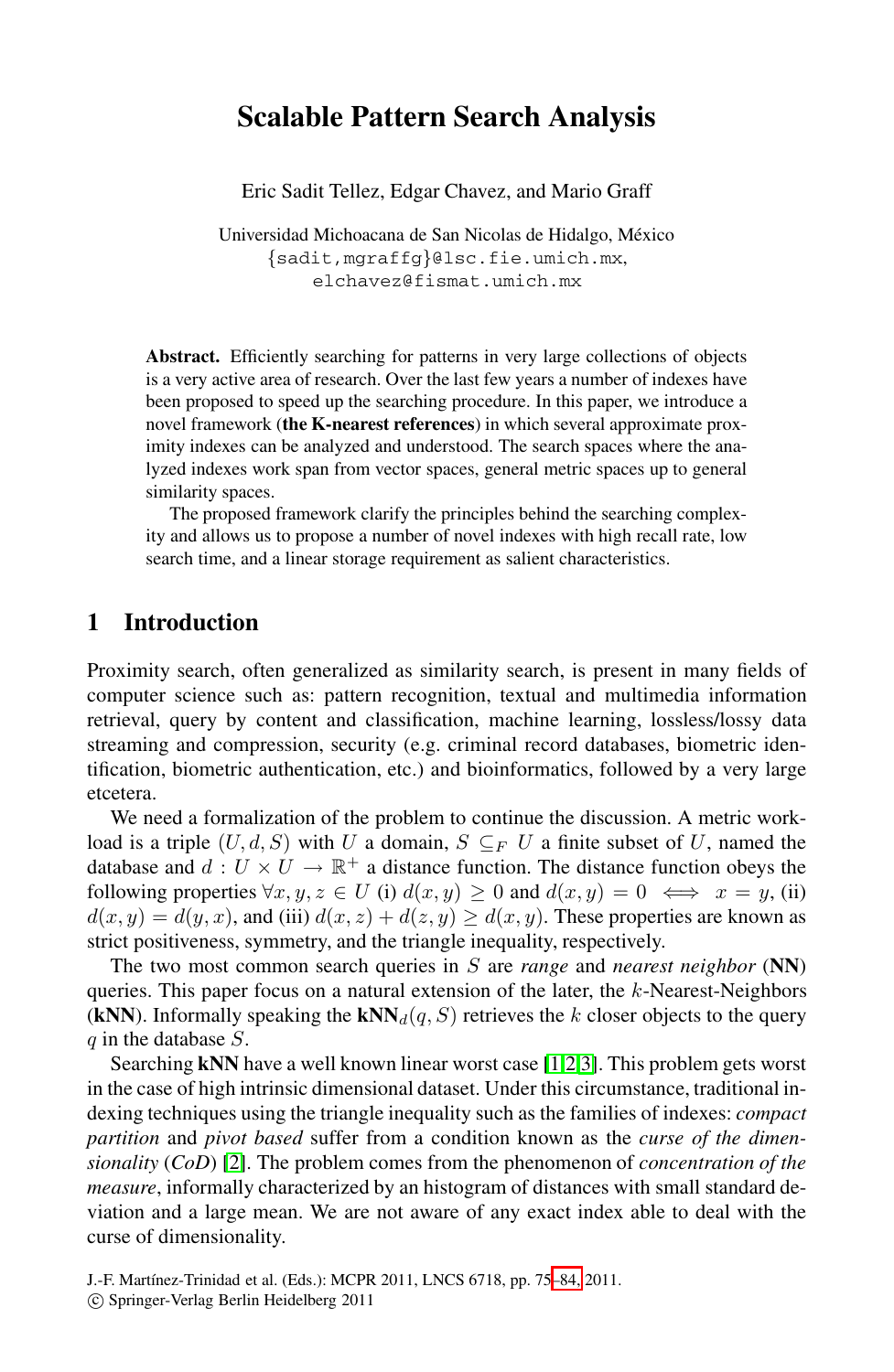# **Scalable Pattern Search Analysis**

Eric Sadit Tellez, Edgar Chavez, and Mario Graff

Universidad Michoacana de San Nicolas de Hidalgo, México *{*sadit,mgraffg*}*@lsc.fie.umich.mx, elchavez@fismat.umich.mx

**Abstract.** Efficiently searching for patterns in very large collections of objects is a very active area of research. Over the last few years a number of indexes have been proposed to speed up the searching procedure. In this paper, we introduce a novel framework (**the K-nearest references**) in which several approximate proximity indexes can be analyzed and understood. The search spaces where the analyzed indexes work span from vector spaces, general metric spaces up to general similarity spaces.

The proposed framework clarify the principles behind the searching complexity and allows us to propose a number of novel indexes with high recall rate, low search time, and a linear storage requirement as salient characteristics.

## **1 Introduction**

Proximity search, often generalized as similarity search, is present in many fields of computer science such as: pattern recognition, textual and multimedia information retrieval, query by content and classification, machine learning, lossless/lossy data streaming and compression, security (e.g. criminal record databases, biometric identification, biometric authentication, etc.) and bioinformatics, followed by a very large etcetera.

We need a formalization of the problem to continue the discussion. A metric workload is a triple  $(U, d, S)$  with U a domain,  $S \subseteq_F U$  a finite subset of U, named the database and  $d: U \times U \rightarrow \mathbb{R}^+$  a distance function. The distance function obeys the following properties  $\forall x, y, z \in U$  (i)  $d(x, y) \ge 0$  and  $d(x, y) = 0 \iff x = y$ , (ii)  $d(x, y) = d(y, x)$ , and (iii)  $d(x, z) + d(z, y) \ge d(x, y)$ . These properties are known as strict positiveness, symmetry, and the triangle inequality, respectively.

The two most common search queries in S are *range* and *nearest neighbor* (**NN**) queries. This paper focus on a natural extension of the later, the k-Nearest-Neighbors (**kNN**). Informally speaking the **kNN** $_d(q, S)$  retrieves the k closer objects to the query  $q$  in the database  $S$ .

Searching **kNN** have a well known linear worst case [\[1](#page-9-0)[,2](#page-9-1)[,3\]](#page-9-2). This problem gets worst in the case of high intrinsic dimensional dataset. Under this circumstance, traditional indexing techniques using the triangle inequality such as the families of indexes: *compact partition* and *pivot based* suffer from a condition known as the *curse of the dimensionality* (*CoD*) [\[2\]](#page-9-1). The problem comes from the phenomenon of *concentration of the measure*, informally characterized by an histogram of distances with small standard deviation and a large mean. We are not aware of any exact index able to deal with the curse of dimensionality.

J.-F. Martínez-Trinidad et al. (Eds.): MCPR 2011, LNCS 6718, pp. 75-84, 2011. -c Springer-Verlag Berlin Heidelberg 2011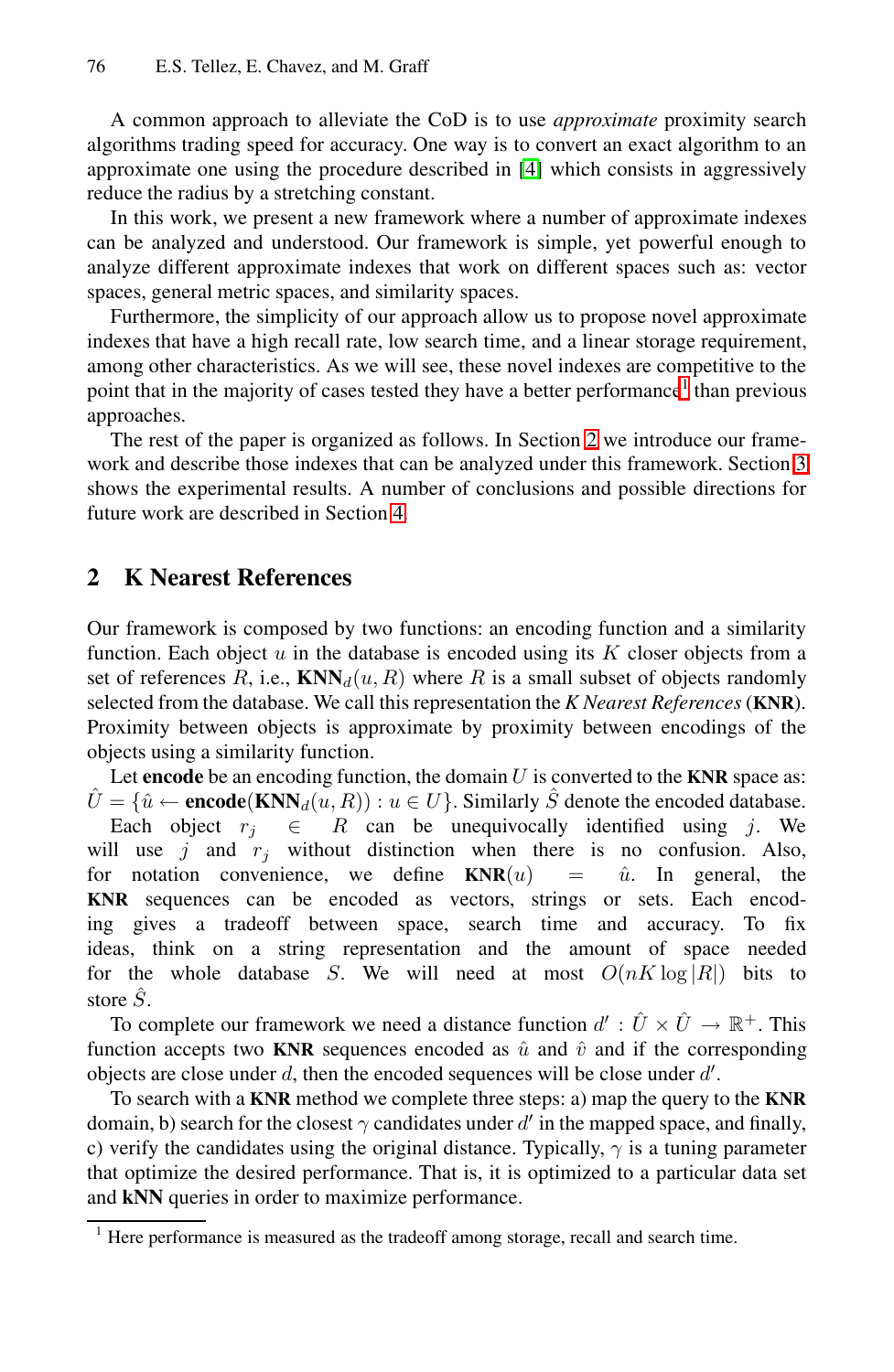A common approach to alleviate the CoD is to use *approximate* proximity search algorithms trading speed for accuracy. One way is to convert an exact algorithm to an approximate one using the procedure described in [\[4\]](#page-9-4) which consists in aggressively reduce the radius by a stretching constant.

In this work, we present a new framework where a number of approximate indexes can be analyzed and understood. Our framework is simple, yet powerful enough to analyze different approximate indexes that work on different spaces such as: vector spaces, general metric spaces, and similarity spaces.

Furthermore, the simplicity of our approach allow us to propose novel approximate indexes that have a high recall rate, low search time, and a linear storage requirement, among other characteristics. As we will see, these novel indexes are competitive to the point that in the majority of cases tested they have a better performance<sup>[1](#page-1-0)</sup> than previous approaches.

The rest of the paper is organized as follows. In Section [2](#page-1-1) we introduce our framework and describe those indexes that can be analyzed under this framework. Section [3](#page-4-0) shows the experimental results. A number of conclusions and possible directions for future work are described in Section [4.](#page-8-0)

## <span id="page-1-1"></span>**2 K Nearest References**

Our framework is composed by two functions: an encoding function and a similarity function. Each object  $u$  in the database is encoded using its  $K$  closer objects from a set of references R, i.e.,  $KNN_d(u, R)$  where R is a small subset of objects randomly selected from the database. We call this representation the *K Nearest References* (**KNR**). Proximity between objects is approximate by proximity between encodings of the objects using a similarity function.

Let  $\mathbf{encode}$  be an encoding function, the domain  $U$  is converted to the  $\mathbf{KNR}$  space as:  $U = \{ \hat{u} \leftarrow \textbf{encode}(\textbf{KNN}_d(u, R)) : u \in U \}.$  Similarly S denote the encoded database.

Each object  $r_j \in R$  can be unequivocally identified using j. We will use  $j$  and  $r_j$  without distinction when there is no confusion. Also, for notation convenience, we define  $KNR(u) = u$ . In general, the **KNR** sequences can be encoded as vectors, strings or sets. Each encoding gives a tradeoff between space, search time and accuracy. To fix ideas, think on a string representation and the amount of space needed for the whole database S. We will need at most  $O(nK \log |R|)$  bits to store  $\hat{S}$ .

To complete our framework we need a distance function  $d' : \hat{U} \times \hat{U} \to \mathbb{R}^+$ . This function accepts two **KNR** sequences encoded as  $\hat{u}$  and  $\hat{v}$  and if the corresponding objects are close under  $d$ , then the encoded sequences will be close under  $d'$ .

To search with a **KNR** method we complete three steps: a) map the query to the **KNR** domain, b) search for the closest  $\gamma$  candidates under d' in the mapped space, and finally, c) verify the candidates using the original distance. Typically,  $\gamma$  is a tuning parameter that optimize the desired performance. That is, it is optimized to a particular data set and **kNN** queries in order to maximize performance.

<span id="page-1-0"></span><sup>&</sup>lt;sup>1</sup> Here performance is measured as the tradeoff among storage, recall and search time.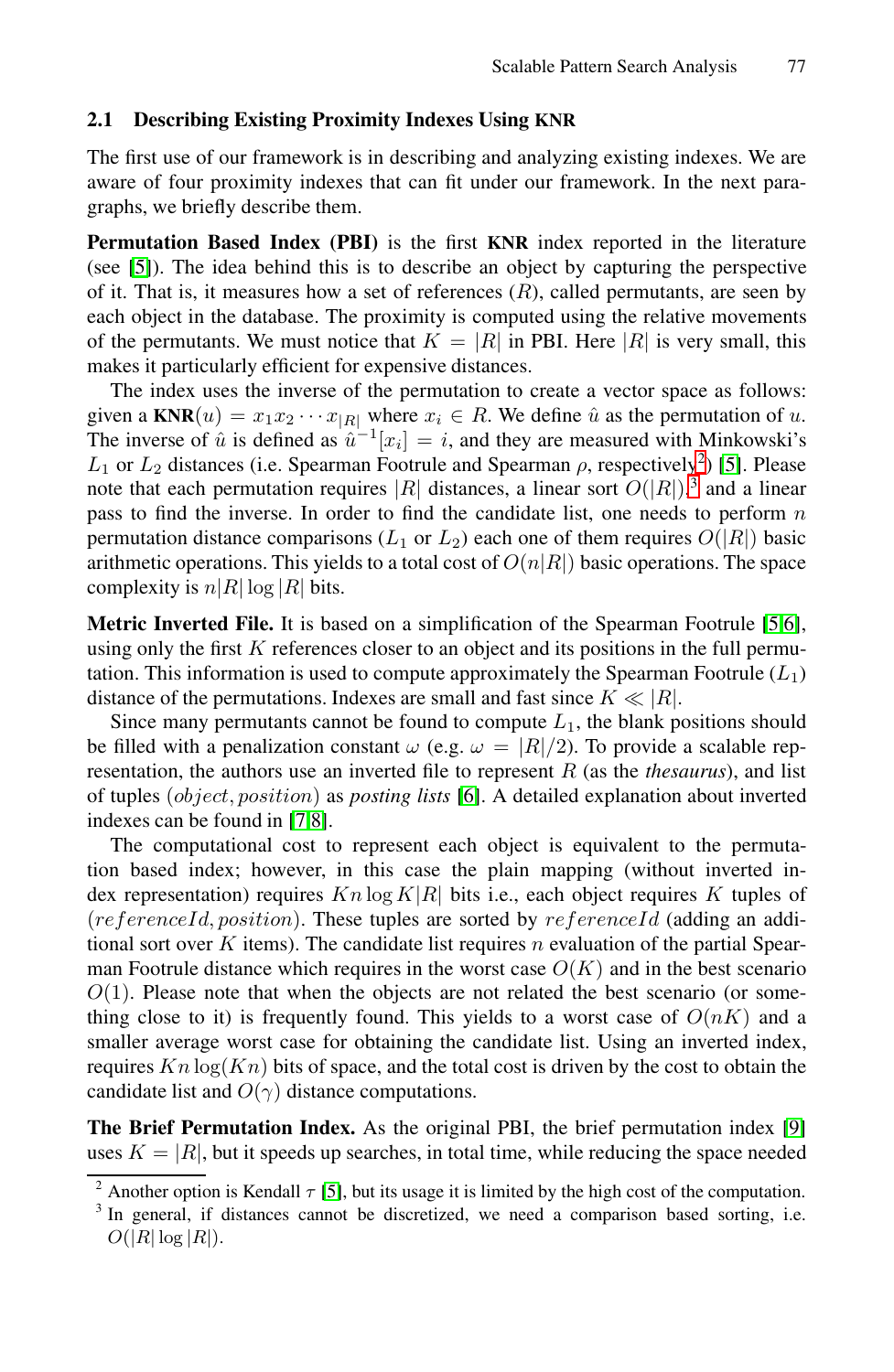#### **2.1 Describing Existing Proximity Indexes Using KNR**

The first use of our framework is in describing and analyzing existing indexes. We are aware of four proximity indexes that can fit under our framework. In the next paragraphs, we briefly describe them.

**Permutation Based Index (PBI)** is the first **KNR** index reported in the literature (see [\[5\]](#page-9-5)). The idea behind this is to describe an object by capturing the perspective of it. That is, it measures how a set of references  $(R)$ , called permutants, are seen by each object in the database. The proximity is computed using the relative movements of the permutants. We must notice that  $K = |R|$  in PBI. Here  $|R|$  is very small, this makes it particularly efficient for expensive distances.

The index uses the inverse of the permutation to create a vector space as follows: given a  $\text{KNR}(u) = x_1 x_2 \cdots x_{|R|}$  where  $x_i \in R$ . We define  $\hat{u}$  as the permutation of u. The inverse of  $\hat{u}$  is defined as  $\hat{u}^{-1}[x_i] = i$ , and they are measured with Minkowski's  $L_1$  or  $L_2$  $L_2$  distances (i.e. Spearman Footrule and Spearman  $\rho$ , respectively<sup>2</sup>) [\[5\]](#page-9-5). Please note that each permutation requires  $|R|$  distances, a linear sort  $O(|R|)$ , and a linear pass to find the inverse. In order to find the candidate list, one needs to perform n pass to find the inverse. In order to find the candidate list, one needs to perform  $n$ permutation distance comparisons ( $L_1$  or  $L_2$ ) each one of them requires  $O(|R|)$  basic arithmetic operations. This yields to a total cost of  $O(n|R|)$  basic operations. The space complexity is  $n|R| \log |R|$  bits.

**Metric Inverted File.** It is based on a simplification of the Spearman Footrule [\[5](#page-9-5)[,6\]](#page-9-6), using only the first  $K$  references closer to an object and its positions in the full permutation. This information is used to compute approximately the Spearman Footrule  $(L_1)$ distance of the permutations. Indexes are small and fast since  $K \ll |R|$ .

Since many permutants cannot be found to compute  $L_1$ , the blank positions should be filled with a penalization constant  $\omega$  (e.g.  $\omega = |R|/2$ ). To provide a scalable representation, the authors use an inverted file to represent R (as the *thesaurus*), and list of tuples (object, position) as *posting lists* [\[6\]](#page-9-6). A detailed explanation about inverted indexes can be found in [\[7](#page-9-7)[,8\]](#page-9-8).

The computational cost to represent each object is equivalent to the permutation based index; however, in this case the plain mapping (without inverted index representation) requires  $Kn \log K|R|$  bits i.e., each object requires K tuples of  $(referenceId, position)$ . These tuples are sorted by  $referenceId$  (adding an additional sort over  $K$  items). The candidate list requires n evaluation of the partial Spearman Footrule distance which requires in the worst case  $O(K)$  and in the best scenario  $O(1)$ . Please note that when the objects are not related the best scenario (or something close to it) is frequently found. This yields to a worst case of  $O(nK)$  and a smaller average worst case for obtaining the candidate list. Using an inverted index, requires  $Kn \log(Kn)$  bits of space, and the total cost is driven by the cost to obtain the candidate list and  $O(\gamma)$  distance computations.

**The Brief Permutation Index.** As the original PBI, the brief permutation index [\[9\]](#page-9-9) uses  $K = |R|$ , but it speeds up searches, in total time, while reducing the space needed

<sup>&</sup>lt;sup>2</sup> Another option is Kendall  $\tau$  [\[5\]](#page-9-5), but its usage it is limited by the high cost of the computation.

<span id="page-2-1"></span><span id="page-2-0"></span><sup>&</sup>lt;sup>3</sup> In general, if distances cannot be discretized, we need a comparison based sorting, i.e.  $O(|R|\log|R|)$ .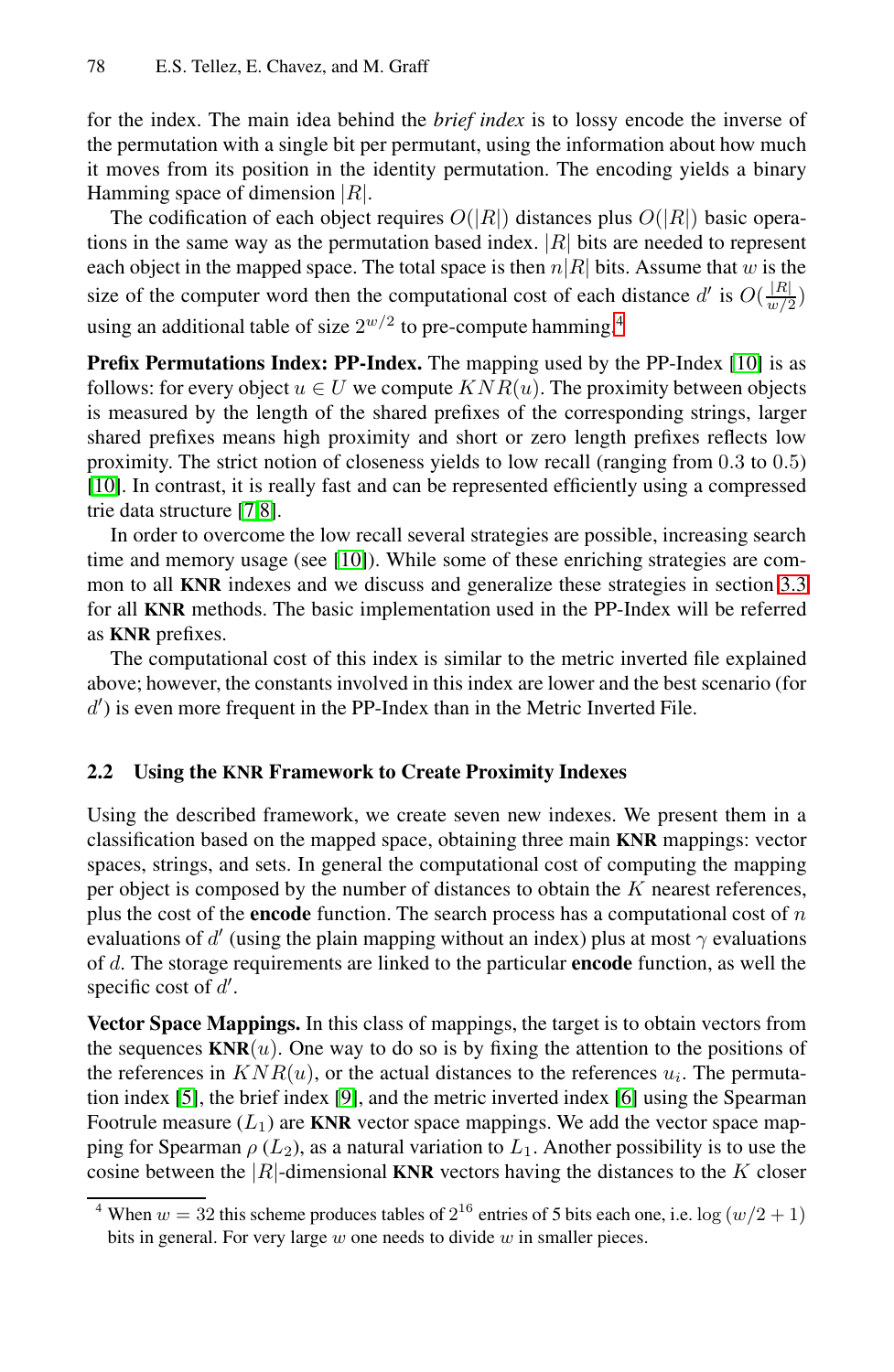for the index. The main idea behind the *brief index* is to lossy encode the inverse of the permutation with a single bit per permutant, using the information about how much it moves from its position in the identity permutation. The encoding yields a binary Hamming space of dimension  $|R|$ .

The codification of each object requires  $O(|R|)$  distances plus  $O(|R|)$  basic operations in the same way as the permutation based index.  $|R|$  bits are needed to represent each object in the mapped space. The total space is then  $n|R|$  bits. Assume that w is the size of the computer word then the computational cost of each distance d' is  $O(\frac{|R|}{w/2})$ using an additional table of size  $2^{w/2}$  to pre-compute hamming.<sup>[4](#page-3-0)</sup>

**Prefix Permutations Index: PP-Index.** The mapping used by the PP-Index [\[10\]](#page-9-10) is as follows: for every object  $u \in U$  we compute  $KNR(u)$ . The proximity between objects is measured by the length of the shared prefixes of the corresponding strings, larger shared prefixes means high proximity and short or zero length prefixes reflects low proximity. The strict notion of closeness yields to low recall (ranging from 0.3 to 0.5) [\[10\]](#page-9-10). In contrast, it is really fast and can be represented efficiently using a compressed trie data structure [\[7](#page-9-7)[,8\]](#page-9-8).

In order to overcome the low recall several strategies are possible, increasing search time and memory usage (see [\[10\]](#page-9-10)). While some of these enriching strategies are common to all **KNR** indexes and we discuss and generalize these strategies in section [3.3](#page-7-0) for all **KNR** methods. The basic implementation used in the PP-Index will be referred as **KNR** prefixes.

The computational cost of this index is similar to the metric inverted file explained above; however, the constants involved in this index are lower and the best scenario (for  $d'$ ) is even more frequent in the PP-Index than in the Metric Inverted File.

#### **2.2 Using the KNR Framework to Create Proximity Indexes**

Using the described framework, we create seven new indexes. We present them in a classification based on the mapped space, obtaining three main **KNR** mappings: vector spaces, strings, and sets. In general the computational cost of computing the mapping per object is composed by the number of distances to obtain the  $K$  nearest references, plus the cost of the **encode** function. The search process has a computational cost of n evaluations of d' (using the plain mapping without an index) plus at most  $\gamma$  evaluations of d. The storage requirements are linked to the particular **encode** function, as well the specific cost of  $d'$ .

**Vector Space Mappings.** In this class of mappings, the target is to obtain vectors from the sequences  $KNR(u)$ . One way to do so is by fixing the attention to the positions of the references in  $KNR(u)$ , or the actual distances to the references  $u_i$ . The permutation index [\[5\]](#page-9-5), the brief index [\[9\]](#page-9-9), and the metric inverted index [\[6\]](#page-9-6) using the Spearman Footrule measure  $(L_1)$  are **KNR** vector space mappings. We add the vector space mapping for Spearman  $\rho$  ( $L_2$ ), as a natural variation to  $L_1$ . Another possibility is to use the cosine between the  $|R|$ -dimensional **KNR** vectors having the distances to the K closer

<span id="page-3-0"></span><sup>&</sup>lt;sup>4</sup> When  $w = 32$  this scheme produces tables of  $2^{16}$  entries of 5 bits each one, i.e.  $\log(w/2 + 1)$ bits in general. For very large  $w$  one needs to divide  $w$  in smaller pieces.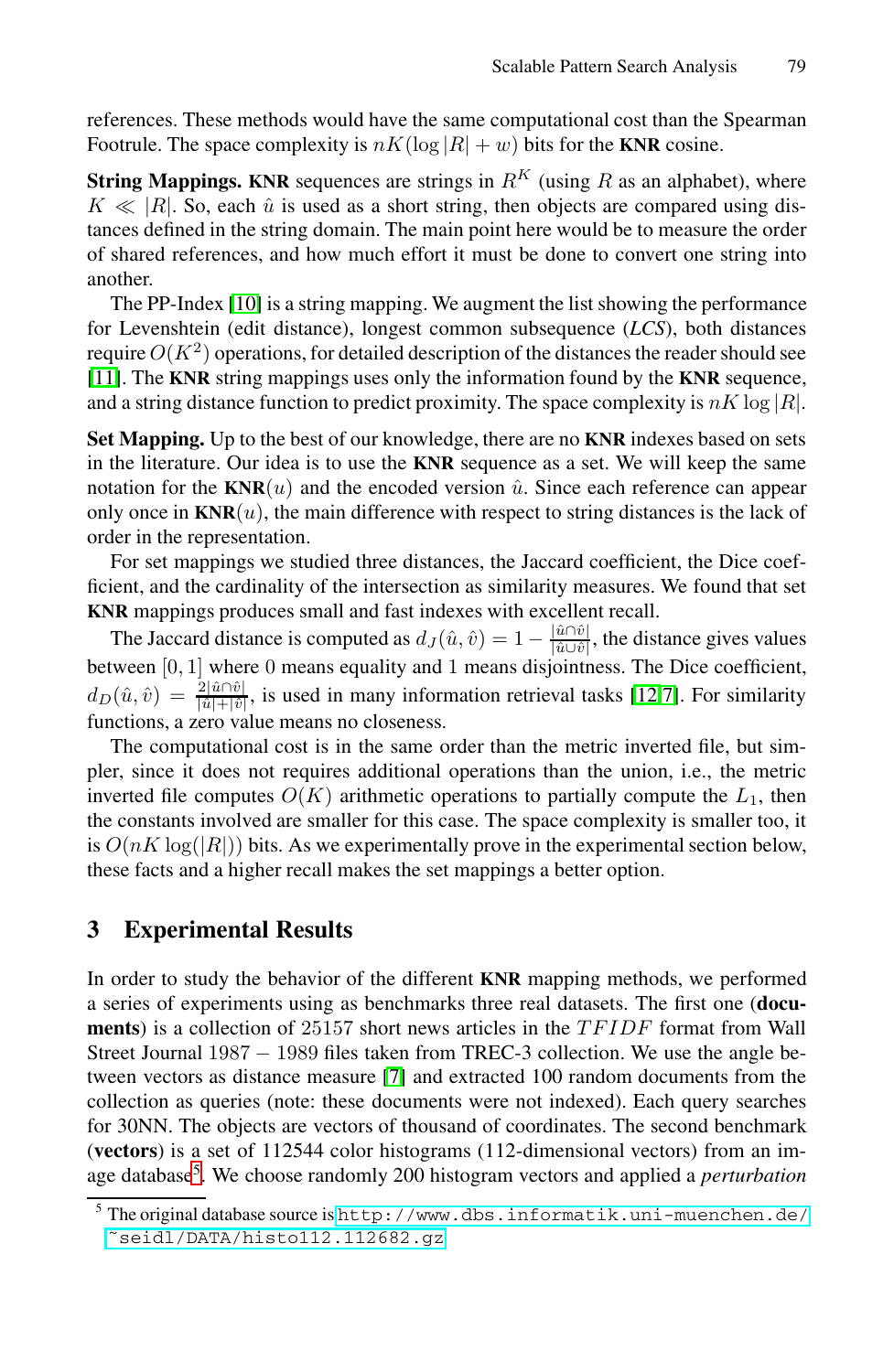references. These methods would have the same computational cost than the Spearman Footrule. The space complexity is  $nK(\log|R| + w)$  bits for the **KNR** cosine.

**String Mappings. KNR** sequences are strings in  $R^K$  (using R as an alphabet), where  $K \ll |R|$ . So, each  $\hat{u}$  is used as a short string, then objects are compared using distances defined in the string domain. The main point here would be to measure the order tances defined in the string domain. The main point here would be to measure the order of shared references, and how much effort it must be done to convert one string into another.

The PP-Index [\[10\]](#page-9-10) is a string mapping. We augment the list showing the performance for Levenshtein (edit distance), longest common subsequence (*LCS*), both distances require  $O(K^2)$  operations, for detailed description of the distances the reader should see [\[11\]](#page-9-11). The **KNR** string mappings uses only the information found by the **KNR** sequence, and a string distance function to predict proximity. The space complexity is  $nK \log |R|$ .

**Set Mapping.** Up to the best of our knowledge, there are no **KNR** indexes based on sets in the literature. Our idea is to use the **KNR** sequence as a set. We will keep the same notation for the  $KNR(u)$  and the encoded version  $\hat{u}$ . Since each reference can appear only once in  $\mathbf{KNR}(u)$ , the main difference with respect to string distances is the lack of order in the representation.

For set mappings we studied three distances, the Jaccard coefficient, the Dice coefficient, and the cardinality of the intersection as similarity measures. We found that set **KNR** mappings produces small and fast indexes with excellent recall.

The Jaccard distance is computed as  $d_J(\hat{u}, \hat{v}) = 1 - \frac{|\hat{u} \cap \hat{v}|}{|\hat{u} \cup \hat{v}|}$ , the distance gives values between [0, 1] where 0 means equality and 1 means disjointness. The Dice coefficient,  $d_D(\hat{u}, \hat{v}) = \frac{2|\hat{u}\cap\hat{v}|}{|\hat{u}|+|\hat{v}|}$ , is used in many information retrieval tasks [\[12,](#page-9-12)[7\]](#page-9-7). For similarity functions, a zero value means no closeness.

The computational cost is in the same order than the metric inverted file, but simpler, since it does not requires additional operations than the union, i.e., the metric inverted file computes  $O(K)$  arithmetic operations to partially compute the  $L_1$ , then the constants involved are smaller for this case. The space complexity is smaller too, it is  $O(nK \log(|R|))$  bits. As we experimentally prove in the experimental section below, these facts and a higher recall makes the set mappings a better option.

### <span id="page-4-0"></span>**3 Experimental Results**

In order to study the behavior of the different **KNR** mapping methods, we performed a series of experiments using as benchmarks three real datasets. The first one (**documents**) is a collection of 25157 short news articles in the TFIDF format from Wall Street Journal 1987 <sup>−</sup> 1989 files taken from TREC-3 collection. We use the angle between vectors as distance measure [\[7\]](#page-9-7) and extracted 100 random documents from the collection as queries (note: these documents were not indexed). Each query searches for 30NN. The objects are vectors of thousand of coordinates. The second benchmark (**vectors**) is a set of 112544 color histograms (112-dimensional vectors) from an image database[5.](#page-4-1) We choose randomly 200 histogram vectors and applied a *perturbation*

<span id="page-4-1"></span><sup>5</sup> The original database source is [http://www.dbs.informatik.uni-muenchen.de/](http://www.dbs.informatik.uni-muenchen.de/~seidl/DATA/histo112.112682.gz) [˜seidl/DATA/histo112.112682.gz](http://www.dbs.informatik.uni-muenchen.de/~seidl/DATA/histo112.112682.gz)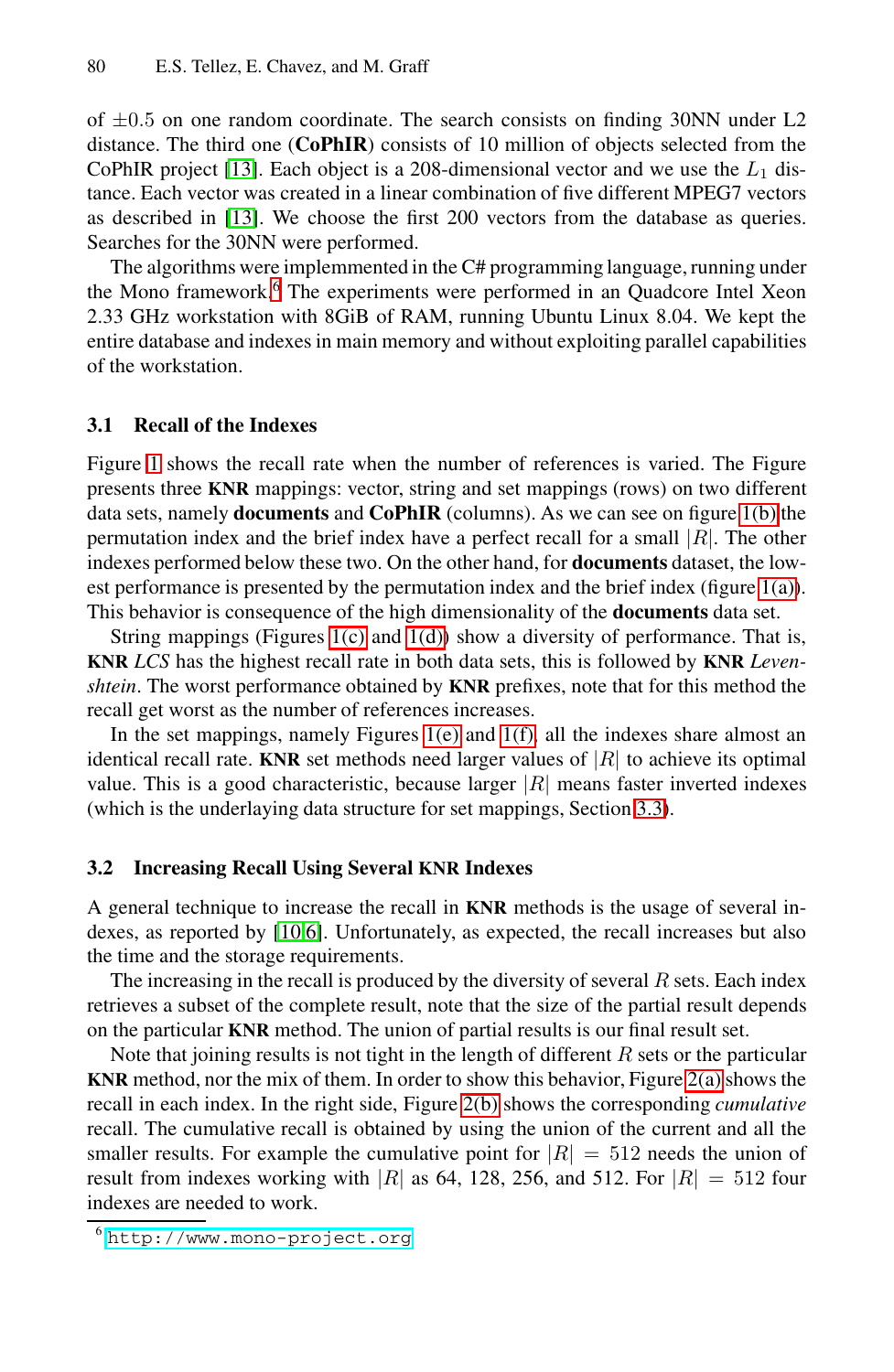of  $\pm 0.5$  on one random coordinate. The search consists on finding 30NN under L2 distance. The third one (**CoPhIR**) consists of 10 million of objects selected from the CoPhIR project [\[13\]](#page-9-13). Each object is a 208-dimensional vector and we use the  $L_1$  distance. Each vector was created in a linear combination of five different MPEG7 vectors as described in [\[13\]](#page-9-13). We choose the first 200 vectors from the database as queries. Searches for the 30NN were performed.

The algorithms were implemmented in the C# programming language, running under the Mono framework.[6](#page-5-0) The experiments were performed in an Quadcore Intel Xeon 2.33 GHz workstation with 8GiB of RAM, running Ubuntu Linux 8.04. We kept the entire database and indexes in main memory and without exploiting parallel capabilities of the workstation.

#### **3.1 Recall of the Indexes**

Figure [1](#page-6-0) shows the recall rate when the number of references is varied. The Figure presents three **KNR** mappings: vector, string and set mappings (rows) on two different data sets, namely **documents** and **CoPhIR** (columns). As we can see on figure [1\(b\)](#page-6-1) the permutation index and the brief index have a perfect recall for a small  $|R|$ . The other indexes performed below these two. On the other hand, for **documents** dataset, the lowest performance is presented by the permutation index and the brief index (figure [1\(a\)\)](#page-6-2). This behavior is consequence of the high dimensionality of the **documents** data set.

String mappings (Figures [1\(c\)](#page-6-3) and  $1(d)$ ) show a diversity of performance. That is, **KNR** *LCS* has the highest recall rate in both data sets, this is followed by **KNR** *Levenshtein*. The worst performance obtained by **KNR** prefixes, note that for this method the recall get worst as the number of references increases.

In the set mappings, namely Figures [1\(e\)](#page-6-5) and [1\(f\),](#page-6-6) all the indexes share almost an identical recall rate. **KNR** set methods need larger values of  $|R|$  to achieve its optimal value. This is a good characteristic, because larger  $|R|$  means faster inverted indexes (which is the underlaying data structure for set mappings, Section [3.3\)](#page-7-0).

#### **3.2 Increasing Recall Using Several KNR Indexes**

A general technique to increase the recall in **KNR** methods is the usage of several indexes, as reported by [\[10,](#page-9-10)[6\]](#page-9-6). Unfortunately, as expected, the recall increases but also the time and the storage requirements.

The increasing in the recall is produced by the diversity of several  $R$  sets. Each index retrieves a subset of the complete result, note that the size of the partial result depends on the particular **KNR** method. The union of partial results is our final result set.

Note that joining results is not tight in the length of different  $R$  sets or the particular **KNR** method, nor the mix of them. In order to show this behavior, Figure [2\(a\)](#page-7-1) shows the recall in each index. In the right side, Figure [2\(b\)](#page-7-2) shows the corresponding *cumulative* recall. The cumulative recall is obtained by using the union of the current and all the smaller results. For example the cumulative point for  $|R| = 512$  needs the union of result from indexes working with |R| as 64, 128, 256, and 512. For  $|R| = 512$  four indexes are needed to work.

<span id="page-5-0"></span><sup>6</sup> <http://www.mono-project.org>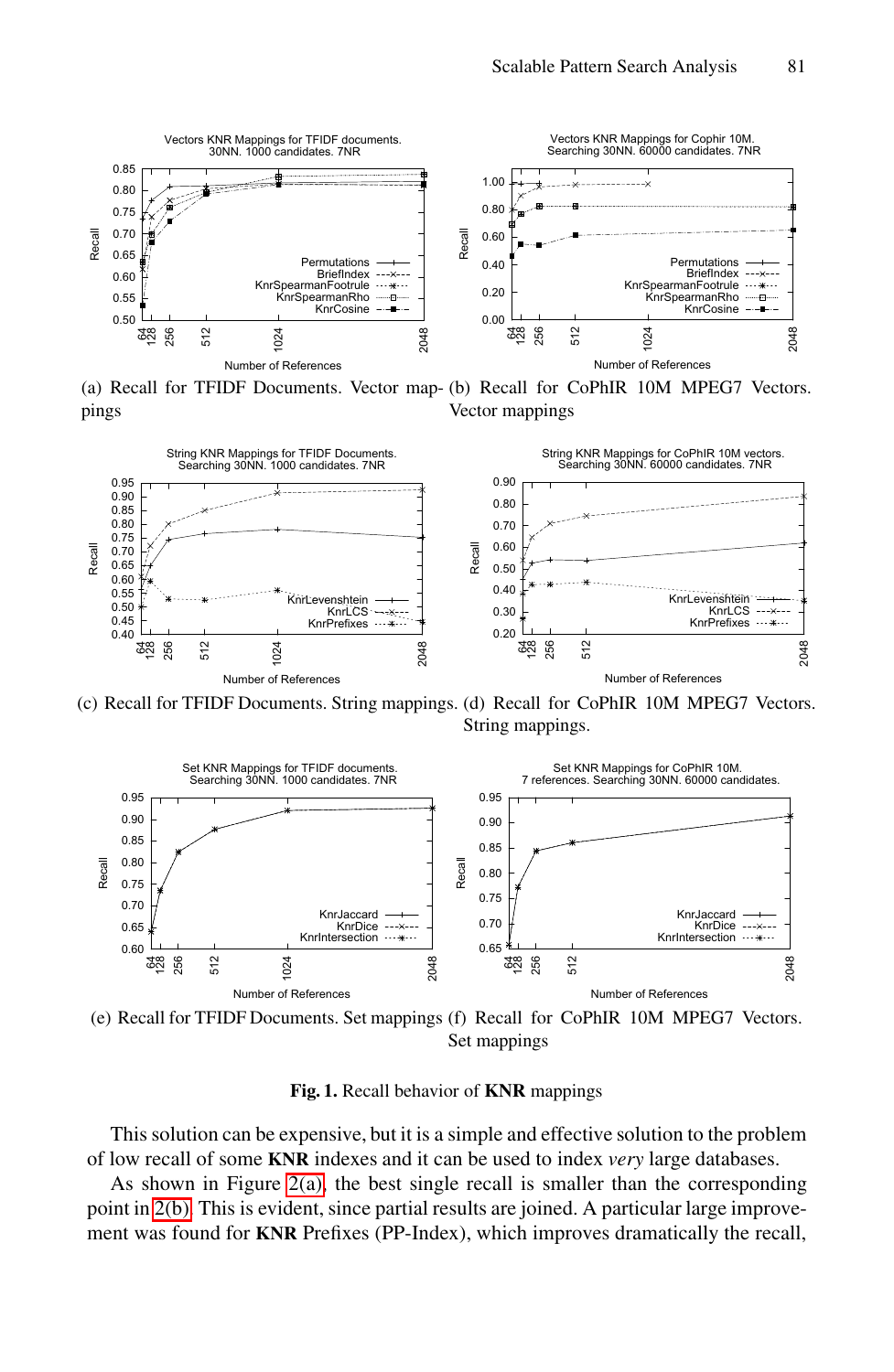

<span id="page-6-2"></span><span id="page-6-1"></span>(a) Recall for TFIDF Documents. Vector map-(b) Recall for CoPhIR 10M MPEG7 Vectors. pings Vector mappings



<span id="page-6-3"></span>(c) Recall for TFIDF Documents. String mappings. (d) Recall for CoPhIR 10M MPEG7 Vectors. String mappings.

<span id="page-6-4"></span>

<span id="page-6-5"></span><span id="page-6-0"></span>(e) Recall for TFIDF Documents. Set mappings (f) Recall for CoPhIR 10M MPEG7 Vectors. Set mappings

<span id="page-6-6"></span>**Fig. 1.** Recall behavior of **KNR** mappings

This solution can be expensive, but it is a simple and effective solution to the problem of low recall of some **KNR** indexes and it can be used to index *very* large databases.

As shown in Figure  $2(a)$ , the best single recall is smaller than the corresponding point in [2\(b\).](#page-7-2) This is evident, since partial results are joined. A particular large improvement was found for **KNR** Prefixes (PP-Index), which improves dramatically the recall,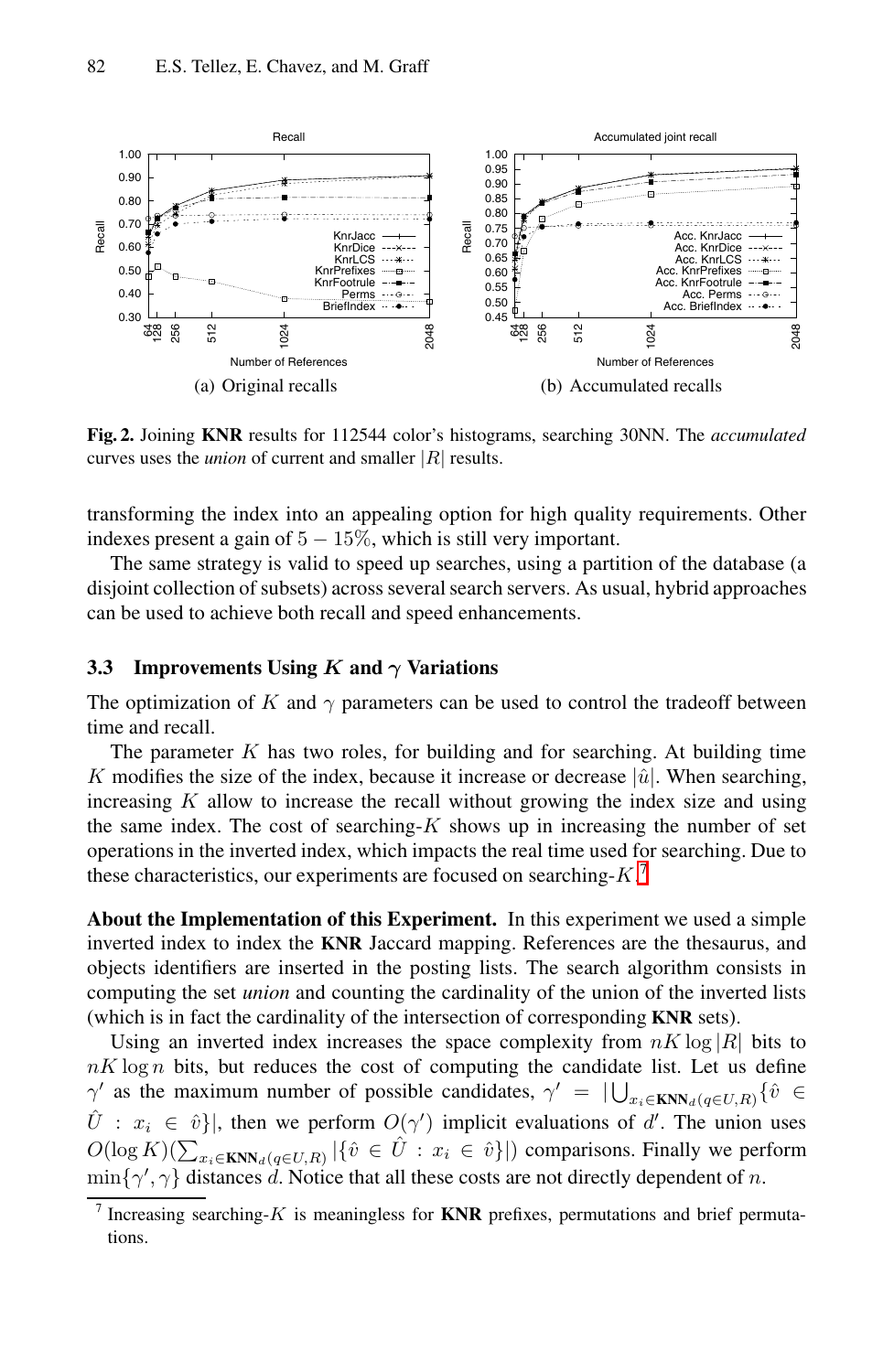

<span id="page-7-2"></span><span id="page-7-1"></span>**Fig. 2.** Joining **KNR** results for 112544 color's histograms, searching 30NN. The *accumulated* curves uses the *union* of current and smaller *|*R*|* results.

transforming the index into an appealing option for high quality requirements. Other indexes present a gain of  $5 - 15\%$ , which is still very important.

The same strategy is valid to speed up searches, using a partition of the database (a disjoint collection of subsets) across several search servers. As usual, hybrid approaches can be used to achieve both recall and speed enhancements.

#### <span id="page-7-0"></span>**3.3** Improvements Using  $K$  and  $\gamma$  Variations

The optimization of K and  $\gamma$  parameters can be used to control the tradeoff between time and recall.

The parameter  $K$  has two roles, for building and for searching. At building time K modifies the size of the index, because it increase or decrease  $|\hat{u}|$ . When searching, increasing  $K$  allow to increase the recall without growing the index size and using the same index. The cost of searching- $K$  shows up in increasing the number of set operations in the inverted index, which impacts the real time used for searching. Due to these characteristics, our experiments are focused on searching- $K$ .<sup>[7](#page-7-3)</sup>

**About the Implementation of this Experiment.** In this experiment we used a simple inverted index to index the **KNR** Jaccard mapping. References are the thesaurus, and objects identifiers are inserted in the posting lists. The search algorithm consists in computing the set *union* and counting the cardinality of the union of the inverted lists (which is in fact the cardinality of the intersection of corresponding **KNR** sets).

Using an inverted index increases the space complexity from  $nK \log |R|$  bits to  $nK \log n$  bits, but reduces the cost of computing the candidate list. Let us define  $\gamma'$  as the maximum number of possible candidates,  $\gamma' = \bigcup_{x_i \in \mathbf{KNN}_d(q \in U, R)} \{\hat{v} \in \hat{X}\}$  $\hat{U}$ :  $x_i \in \hat{v}$ }, then we perform  $O(\gamma')$  implicit evaluations of d'. The union uses  $O(\log K)(\sum |f_i| \in \hat{U} + x_i \in \hat{v}$ }) comparisons. Finally we perform  $O(\log K)(\sum_{x_i \in \mathbf{KNN}_d(q \in U, R)} |\{\hat{v} \in \hat{U} : x_i \in \hat{v}\}|)$  comparisons. Finally we perform  $\min\{\gamma', \gamma\}$  distances d. Notice that all these costs are not directly dependent of n.

<span id="page-7-3"></span><sup>7</sup> Increasing searching-K is meaningless for **KNR** prefixes, permutations and brief permutations.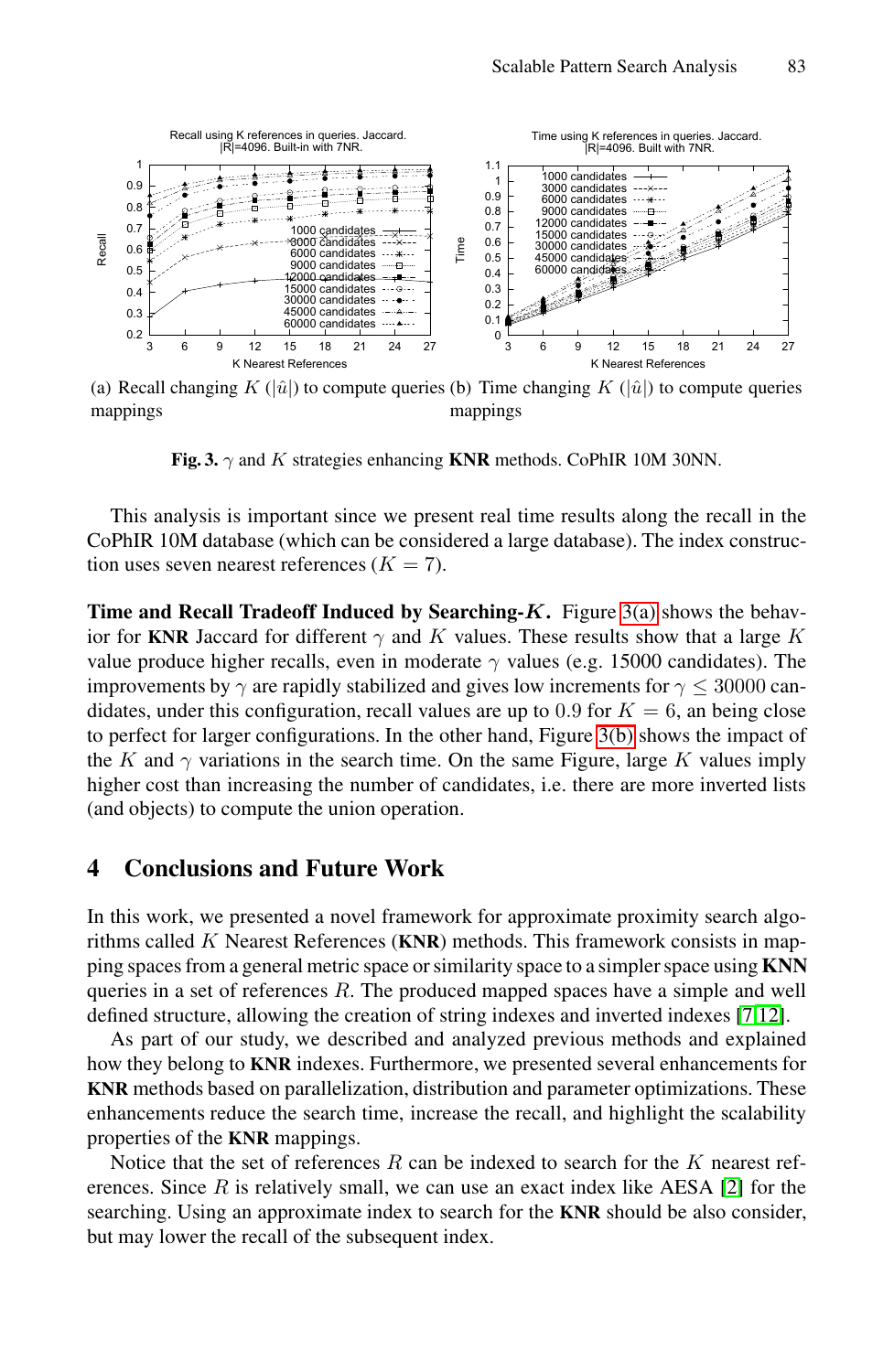

<span id="page-8-1"></span>(a) Recall changing  $K(|\hat{u}|)$  to compute queries (b) Time changing  $K(|\hat{u}|)$  to compute queries mannings mappings mappings

<span id="page-8-2"></span>**Fig. 3.**  $\gamma$  and K strategies enhancing **KNR** methods. CoPhIR 10M 30NN.

This analysis is important since we present real time results along the recall in the CoPhIR 10M database (which can be considered a large database). The index construction uses seven nearest references  $(K = 7)$ .

**Time and Recall Tradeoff Induced by Searching-***K***.** Figure [3\(a\)](#page-8-1) shows the behavior for **KNR** Jaccard for different  $\gamma$  and K values. These results show that a large K value produce higher recalls, even in moderate  $\gamma$  values (e.g. 15000 candidates). The improvements by  $\gamma$  are rapidly stabilized and gives low increments for  $\gamma \leq 30000$  candidates, under this configuration, recall values are up to 0.9 for  $K = 6$ , an being close to perfect for larger configurations. In the other hand, Figure [3\(b\)](#page-8-2) shows the impact of the K and  $\gamma$  variations in the search time. On the same Figure, large K values imply higher cost than increasing the number of candidates, i.e. there are more inverted lists (and objects) to compute the union operation.

### <span id="page-8-0"></span>**4 Conclusions and Future Work**

In this work, we presented a novel framework for approximate proximity search algorithms called K Nearest References (**KNR**) methods. This framework consists in mapping spaces from a general metric space or similarity space to a simpler space using **KNN** queries in a set of references  $R$ . The produced mapped spaces have a simple and well defined structure, allowing the creation of string indexes and inverted indexes [\[7](#page-9-7)[,12\]](#page-9-12).

As part of our study, we described and analyzed previous methods and explained how they belong to **KNR** indexes. Furthermore, we presented several enhancements for **KNR** methods based on parallelization, distribution and parameter optimizations. These enhancements reduce the search time, increase the recall, and highlight the scalability properties of the **KNR** mappings.

Notice that the set of references R can be indexed to search for the K nearest references. Since  $R$  is relatively small, we can use an exact index like AESA [\[2\]](#page-9-1) for the searching. Using an approximate index to search for the **KNR** should be also consider, but may lower the recall of the subsequent index.